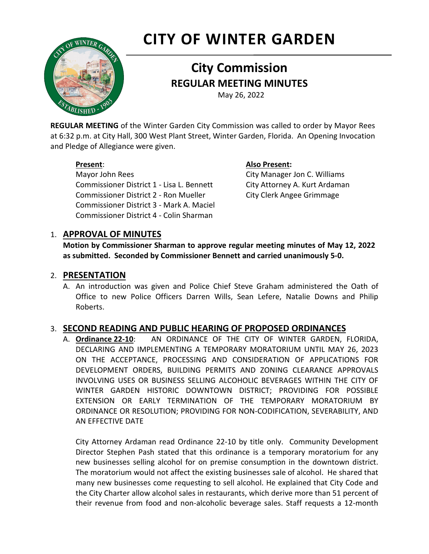# **CITY OF WINTER GARDEN**



## **City Commission REGULAR MEETING MINUTES**

May 26, 2022

**REGULAR MEETING** of the Winter Garden City Commission was called to order by Mayor Rees at 6:32 p.m. at City Hall, 300 West Plant Street, Winter Garden, Florida. An Opening Invocation and Pledge of Allegiance were given.

Mayor John Rees City Manager Jon C. Williams Commissioner District 1 - Lisa L. Bennett City Attorney A. Kurt Ardaman Commissioner District 2 - Ron Mueller City Clerk Angee Grimmage Commissioner District 3 - Mark A. Maciel Commissioner District 4 - Colin Sharman

#### **Present**: **Also Present:**

#### 1. **APPROVAL OF MINUTES**

**Motion by Commissioner Sharman to approve regular meeting minutes of May 12, 2022 as submitted. Seconded by Commissioner Bennett and carried unanimously 5-0.** 

#### 2. **PRESENTATION**

A. An introduction was given and Police Chief Steve Graham administered the Oath of Office to new Police Officers Darren Wills, Sean Lefere, Natalie Downs and Philip Roberts.

### 3. **SECOND READING AND PUBLIC HEARING OF PROPOSED ORDINANCES**

A. **Ordinance 22-10**: AN ORDINANCE OF THE CITY OF WINTER GARDEN, FLORIDA, DECLARING AND IMPLEMENTING A TEMPORARY MORATORIUM UNTIL MAY 26, 2023 ON THE ACCEPTANCE, PROCESSING AND CONSIDERATION OF APPLICATIONS FOR DEVELOPMENT ORDERS, BUILDING PERMITS AND ZONING CLEARANCE APPROVALS INVOLVING USES OR BUSINESS SELLING ALCOHOLIC BEVERAGES WITHIN THE CITY OF WINTER GARDEN HISTORIC DOWNTOWN DISTRICT; PROVIDING FOR POSSIBLE EXTENSION OR EARLY TERMINATION OF THE TEMPORARY MORATORIUM BY ORDINANCE OR RESOLUTION; PROVIDING FOR NON-CODIFICATION, SEVERABILITY, AND AN EFFECTIVE DATE

City Attorney Ardaman read Ordinance 22-10 by title only. Community Development Director Stephen Pash stated that this ordinance is a temporary moratorium for any new businesses selling alcohol for on premise consumption in the downtown district. The moratorium would not affect the existing businesses sale of alcohol. He shared that many new businesses come requesting to sell alcohol. He explained that City Code and the City Charter allow alcohol sales in restaurants, which derive more than 51 percent of their revenue from food and non-alcoholic beverage sales. Staff requests a 12-month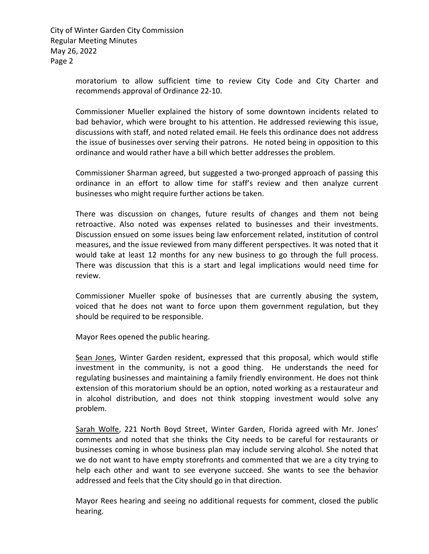Page 2 City of Winter Garden City Commission Regular Meeting Minutes May 26, 2022

> moratorium to allow sufficient time to review City Code and City Charter and recommends approval of Ordinance 22-10.

> Commissioner Mueller explained the history of some downtown incidents related to bad behavior, which were brought to his attention. He addressed reviewing this issue, discussions with staff, and noted related email. He feels this ordinance does not address the issue of businesses over serving their patrons. He noted being in opposition to this ordinance and would rather have a bill which better addresses the problem.

> Commissioner Sharman agreed, but suggested a two-pronged approach of passing this ordinance in an effort to allow time for staff's review and then analyze current businesses who might require further actions be taken.

> There was discussion on changes, future results of changes and them not being retroactive. Also noted was expenses related to businesses and their investments. Discussion ensued on some issues being law enforcement related, institution of control measures, and the issue reviewed from many different perspectives. It was noted that it would take at least 12 months for any new business to go through the full process. There was discussion that this is a start and legal implications would need time for review.

> Commissioner Mueller spoke of businesses that are currently abusing the system, voiced that he does not want to force upon them government regulation, but they should be required to be responsible.

Mayor Rees opened the public hearing.

Sean Jones, Winter Garden resident, expressed that this proposal, which would stifle investment in the community, is not a good thing. He understands the need for regulating businesses and maintaining a family friendly environment. He does not think extension of this moratorium should be an option, noted working as a restaurateur and in alcohol distribution, and does not think stopping investment would solve any problem.

Sarah Wolfe, 221 North Boyd Street, Winter Garden, Florida agreed with Mr. Jones' comments and noted that she thinks the City needs to be careful for restaurants or businesses coming in whose business plan may include serving alcohol. She noted that we do not want to have empty storefronts and commented that we are a city trying to help each other and want to see everyone succeed. She wants to see the behavior addressed and feels that the City should go in that direction.

Mayor Rees hearing and seeing no additional requests for comment, closed the public hearing.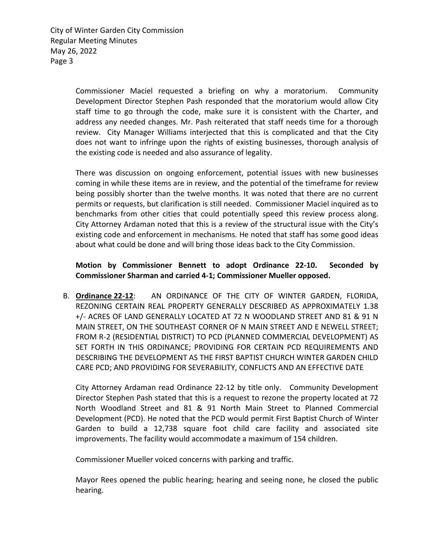Page 3 City of Winter Garden City Commission Regular Meeting Minutes May 26, 2022

> Commissioner Maciel requested a briefing on why a moratorium. Community Development Director Stephen Pash responded that the moratorium would allow City staff time to go through the code, make sure it is consistent with the Charter, and address any needed changes. Mr. Pash reiterated that staff needs time for a thorough review. City Manager Williams interjected that this is complicated and that the City does not want to infringe upon the rights of existing businesses, thorough analysis of the existing code is needed and also assurance of legality.

> There was discussion on ongoing enforcement, potential issues with new businesses coming in while these items are in review, and the potential of the timeframe for review being possibly shorter than the twelve months. It was noted that there are no current permits or requests, but clarification is still needed. Commissioner Maciel inquired as to benchmarks from other cities that could potentially speed this review process along. City Attorney Ardaman noted that this is a review of the structural issue with the City's existing code and enforcement in mechanisms. He noted that staff has some good ideas about what could be done and will bring those ideas back to the City Commission.

#### **Motion by Commissioner Bennett to adopt Ordinance 22-10. Seconded by Commissioner Sharman and carried 4-1; Commissioner Mueller opposed.**

B. **Ordinance 22-12**: AN ORDINANCE OF THE CITY OF WINTER GARDEN, FLORIDA, REZONING CERTAIN REAL PROPERTY GENERALLY DESCRIBED AS APPROXIMATELY 1.38 +/- ACRES OF LAND GENERALLY LOCATED AT 72 N WOODLAND STREET AND 81 & 91 N MAIN STREET, ON THE SOUTHEAST CORNER OF N MAIN STREET AND E NEWELL STREET; FROM R-2 (RESIDENTIAL DISTRICT) TO PCD (PLANNED COMMERCIAL DEVELOPMENT) AS SET FORTH IN THIS ORDINANCE; PROVIDING FOR CERTAIN PCD REQUIREMENTS AND DESCRIBING THE DEVELOPMENT AS THE FIRST BAPTIST CHURCH WINTER GARDEN CHILD CARE PCD; AND PROVIDING FOR SEVERABILITY, CONFLICTS AND AN EFFECTIVE DATE

City Attorney Ardaman read Ordinance 22-12 by title only. Community Development Director Stephen Pash stated that this is a request to rezone the property located at 72 North Woodland Street and 81 & 91 North Main Street to Planned Commercial Development (PCD). He noted that the PCD would permit First Baptist Church of Winter Garden to build a 12,738 square foot child care facility and associated site improvements. The facility would accommodate a maximum of 154 children.

Commissioner Mueller voiced concerns with parking and traffic.

Mayor Rees opened the public hearing; hearing and seeing none, he closed the public hearing.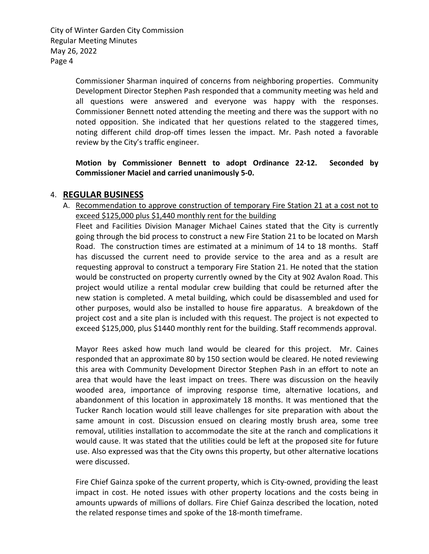Page 4 City of Winter Garden City Commission Regular Meeting Minutes May 26, 2022

> Commissioner Sharman inquired of concerns from neighboring properties. Community Development Director Stephen Pash responded that a community meeting was held and all questions were answered and everyone was happy with the responses. Commissioner Bennett noted attending the meeting and there was the support with no noted opposition. She indicated that her questions related to the staggered times, noting different child drop-off times lessen the impact. Mr. Pash noted a favorable review by the City's traffic engineer.

> **Motion by Commissioner Bennett to adopt Ordinance 22-12. Seconded by Commissioner Maciel and carried unanimously 5-0.**

#### 4. **REGULAR BUSINESS**

A. Recommendation to approve construction of temporary Fire Station 21 at a cost not to exceed \$125,000 plus \$1,440 monthly rent for the building

Fleet and Facilities Division Manager Michael Caines stated that the City is currently going through the bid process to construct a new Fire Station 21 to be located on Marsh Road. The construction times are estimated at a minimum of 14 to 18 months. Staff has discussed the current need to provide service to the area and as a result are requesting approval to construct a temporary Fire Station 21. He noted that the station would be constructed on property currently owned by the City at 902 Avalon Road. This project would utilize a rental modular crew building that could be returned after the new station is completed. A metal building, which could be disassembled and used for other purposes, would also be installed to house fire apparatus. A breakdown of the project cost and a site plan is included with this request. The project is not expected to exceed \$125,000, plus \$1440 monthly rent for the building. Staff recommends approval.

Mayor Rees asked how much land would be cleared for this project. Mr. Caines responded that an approximate 80 by 150 section would be cleared. He noted reviewing this area with Community Development Director Stephen Pash in an effort to note an area that would have the least impact on trees. There was discussion on the heavily wooded area, importance of improving response time, alternative locations, and abandonment of this location in approximately 18 months. It was mentioned that the Tucker Ranch location would still leave challenges for site preparation with about the same amount in cost. Discussion ensued on clearing mostly brush area, some tree removal, utilities installation to accommodate the site at the ranch and complications it would cause. It was stated that the utilities could be left at the proposed site for future use. Also expressed was that the City owns this property, but other alternative locations were discussed.

Fire Chief Gainza spoke of the current property, which is City-owned, providing the least impact in cost. He noted issues with other property locations and the costs being in amounts upwards of millions of dollars. Fire Chief Gainza described the location, noted the related response times and spoke of the 18-month timeframe.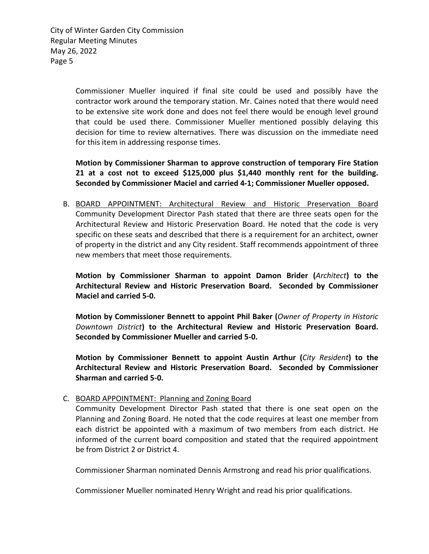Page 5 City of Winter Garden City Commission Regular Meeting Minutes May 26, 2022

> Commissioner Mueller inquired if final site could be used and possibly have the contractor work around the temporary station. Mr. Caines noted that there would need to be extensive site work done and does not feel there would be enough level ground that could be used there. Commissioner Mueller mentioned possibly delaying this decision for time to review alternatives. There was discussion on the immediate need for this item in addressing response times.

> **Motion by Commissioner Sharman to approve construction of temporary Fire Station 21 at a cost not to exceed \$125,000 plus \$1,440 monthly rent for the building. Seconded by Commissioner Maciel and carried 4-1; Commissioner Mueller opposed.**

B. BOARD APPOINTMENT: Architectural Review and Historic Preservation Board Community Development Director Pash stated that there are three seats open for the Architectural Review and Historic Preservation Board. He noted that the code is very specific on these seats and described that there is a requirement for an architect, owner of property in the district and any City resident. Staff recommends appointment of three new members that meet those requirements.

**Motion by Commissioner Sharman to appoint Damon Brider (***Architect***) to the Architectural Review and Historic Preservation Board. Seconded by Commissioner Maciel and carried 5-0.** 

**Motion by Commissioner Bennett to appoint Phil Baker (***Owner of Property in Historic Downtown District***) to the Architectural Review and Historic Preservation Board. Seconded by Commissioner Mueller and carried 5-0.** 

**Motion by Commissioner Bennett to appoint Austin Arthur (***City Resident***) to the Architectural Review and Historic Preservation Board. Seconded by Commissioner Sharman and carried 5-0.** 

#### C. BOARD APPOINTMENT: Planning and Zoning Board

Community Development Director Pash stated that there is one seat open on the Planning and Zoning Board. He noted that the code requires at least one member from each district be appointed with a maximum of two members from each district. He informed of the current board composition and stated that the required appointment be from District 2 or District 4.

Commissioner Sharman nominated Dennis Armstrong and read his prior qualifications.

Commissioner Mueller nominated Henry Wright and read his prior qualifications.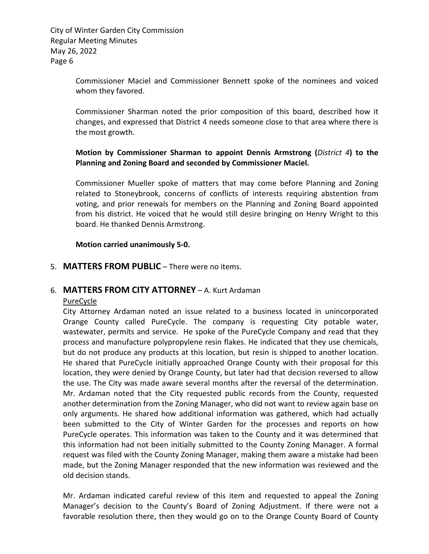Page 6 City of Winter Garden City Commission Regular Meeting Minutes May 26, 2022

> Commissioner Maciel and Commissioner Bennett spoke of the nominees and voiced whom they favored.

> Commissioner Sharman noted the prior composition of this board, described how it changes, and expressed that District 4 needs someone close to that area where there is the most growth.

> **Motion by Commissioner Sharman to appoint Dennis Armstrong (***District 4***) to the Planning and Zoning Board and seconded by Commissioner Maciel.**

> Commissioner Mueller spoke of matters that may come before Planning and Zoning related to Stoneybrook, concerns of conflicts of interests requiring abstention from voting, and prior renewals for members on the Planning and Zoning Board appointed from his district. He voiced that he would still desire bringing on Henry Wright to this board. He thanked Dennis Armstrong.

**Motion carried unanimously 5-0.** 

5. **MATTERS FROM PUBLIC** – There were no items.

#### 6. **MATTERS FROM CITY ATTORNEY** – A. Kurt Ardaman

#### PureCycle

City Attorney Ardaman noted an issue related to a business located in unincorporated Orange County called PureCycle. The company is requesting City potable water, wastewater, permits and service. He spoke of the PureCycle Company and read that they process and manufacture polypropylene resin flakes. He indicated that they use chemicals, but do not produce any products at this location, but resin is shipped to another location. He shared that PureCycle initially approached Orange County with their proposal for this location, they were denied by Orange County, but later had that decision reversed to allow the use. The City was made aware several months after the reversal of the determination. Mr. Ardaman noted that the City requested public records from the County, requested another determination from the Zoning Manager, who did not want to review again base on only arguments. He shared how additional information was gathered, which had actually been submitted to the City of Winter Garden for the processes and reports on how PureCycle operates. This information was taken to the County and it was determined that this information had not been initially submitted to the County Zoning Manager. A formal request was filed with the County Zoning Manager, making them aware a mistake had been made, but the Zoning Manager responded that the new information was reviewed and the old decision stands.

Mr. Ardaman indicated careful review of this item and requested to appeal the Zoning Manager's decision to the County's Board of Zoning Adjustment. If there were not a favorable resolution there, then they would go on to the Orange County Board of County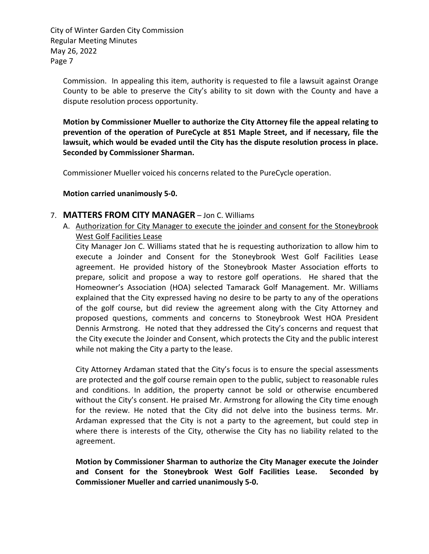Page 7 City of Winter Garden City Commission Regular Meeting Minutes May 26, 2022

Commission. In appealing this item, authority is requested to file a lawsuit against Orange County to be able to preserve the City's ability to sit down with the County and have a dispute resolution process opportunity.

**Motion by Commissioner Mueller to authorize the City Attorney file the appeal relating to prevention of the operation of PureCycle at 851 Maple Street, and if necessary, file the lawsuit, which would be evaded until the City has the dispute resolution process in place. Seconded by Commissioner Sharman.** 

Commissioner Mueller voiced his concerns related to the PureCycle operation.

#### **Motion carried unanimously 5-0.**

#### 7. **MATTERS FROM CITY MANAGER** – Jon C. Williams

A. Authorization for City Manager to execute the joinder and consent for the Stoneybrook West Golf Facilities Lease

City Manager Jon C. Williams stated that he is requesting authorization to allow him to execute a Joinder and Consent for the Stoneybrook West Golf Facilities Lease agreement. He provided history of the Stoneybrook Master Association efforts to prepare, solicit and propose a way to restore golf operations. He shared that the Homeowner's Association (HOA) selected Tamarack Golf Management. Mr. Williams explained that the City expressed having no desire to be party to any of the operations of the golf course, but did review the agreement along with the City Attorney and proposed questions, comments and concerns to Stoneybrook West HOA President Dennis Armstrong. He noted that they addressed the City's concerns and request that the City execute the Joinder and Consent, which protects the City and the public interest while not making the City a party to the lease.

City Attorney Ardaman stated that the City's focus is to ensure the special assessments are protected and the golf course remain open to the public, subject to reasonable rules and conditions. In addition, the property cannot be sold or otherwise encumbered without the City's consent. He praised Mr. Armstrong for allowing the City time enough for the review. He noted that the City did not delve into the business terms. Mr. Ardaman expressed that the City is not a party to the agreement, but could step in where there is interests of the City, otherwise the City has no liability related to the agreement.

**Motion by Commissioner Sharman to authorize the City Manager execute the Joinder and Consent for the Stoneybrook West Golf Facilities Lease. Seconded by Commissioner Mueller and carried unanimously 5-0.**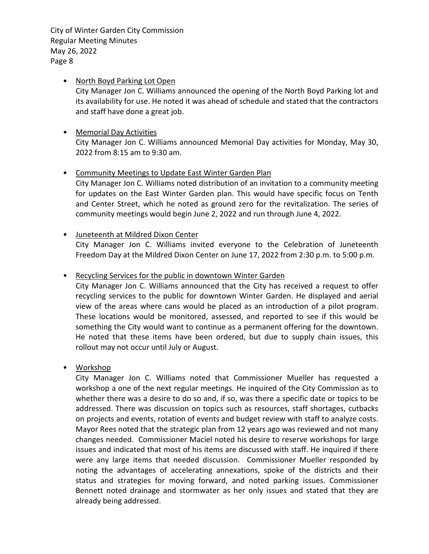Page 8 City of Winter Garden City Commission Regular Meeting Minutes May 26, 2022

#### • North Boyd Parking Lot Open

City Manager Jon C. Williams announced the opening of the North Boyd Parking lot and its availability for use. He noted it was ahead of schedule and stated that the contractors and staff have done a great job.

#### • Memorial Day Activities City Manager Jon C. Williams announced Memorial Day activities for Monday, May 30, 2022 from 8:15 am to 9:30 am.

#### • Community Meetings to Update East Winter Garden Plan

City Manager Jon C. Williams noted distribution of an invitation to a community meeting for updates on the East Winter Garden plan. This would have specific focus on Tenth and Center Street, which he noted as ground zero for the revitalization. The series of community meetings would begin June 2, 2022 and run through June 4, 2022.

#### • Juneteenth at Mildred Dixon Center

City Manager Jon C. Williams invited everyone to the Celebration of Juneteenth Freedom Day at the Mildred Dixon Center on June 17, 2022 from 2:30 p.m. to 5:00 p.m.

#### • Recycling Services for the public in downtown Winter Garden

City Manager Jon C. Williams announced that the City has received a request to offer recycling services to the public for downtown Winter Garden. He displayed and aerial view of the areas where cans would be placed as an introduction of a pilot program. These locations would be monitored, assessed, and reported to see if this would be something the City would want to continue as a permanent offering for the downtown. He noted that these items have been ordered, but due to supply chain issues, this rollout may not occur until July or August.

#### • Workshop

City Manager Jon C. Williams noted that Commissioner Mueller has requested a workshop a one of the next regular meetings. He inquired of the City Commission as to whether there was a desire to do so and, if so, was there a specific date or topics to be addressed. There was discussion on topics such as resources, staff shortages, cutbacks on projects and events, rotation of events and budget review with staff to analyze costs. Mayor Rees noted that the strategic plan from 12 years ago was reviewed and not many changes needed. Commissioner Maciel noted his desire to reserve workshops for large issues and indicated that most of his items are discussed with staff. He inquired if there were any large items that needed discussion. Commissioner Mueller responded by noting the advantages of accelerating annexations, spoke of the districts and their status and strategies for moving forward, and noted parking issues. Commissioner Bennett noted drainage and stormwater as her only issues and stated that they are already being addressed.